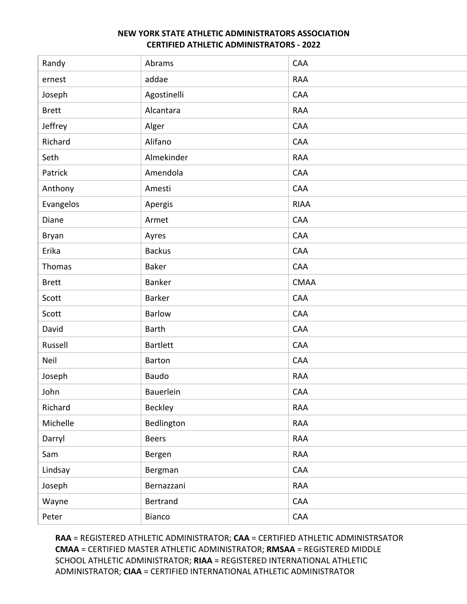| Randy        | Abrams          | CAA         |
|--------------|-----------------|-------------|
| ernest       | addae           | <b>RAA</b>  |
| Joseph       | Agostinelli     | CAA         |
| <b>Brett</b> | Alcantara       | <b>RAA</b>  |
| Jeffrey      | Alger           | CAA         |
| Richard      | Alifano         | CAA         |
| Seth         | Almekinder      | <b>RAA</b>  |
| Patrick      | Amendola        | CAA         |
| Anthony      | Amesti          | CAA         |
| Evangelos    | Apergis         | <b>RIAA</b> |
| Diane        | Armet           | CAA         |
| Bryan        | Ayres           | CAA         |
| Erika        | <b>Backus</b>   | CAA         |
| Thomas       | Baker           | CAA         |
| <b>Brett</b> | Banker          | <b>CMAA</b> |
| Scott        | Barker          | CAA         |
| Scott        | <b>Barlow</b>   | CAA         |
| David        | <b>Barth</b>    | CAA         |
| Russell      | <b>Bartlett</b> | CAA         |
| Neil         | Barton          | CAA         |
| Joseph       | Baudo           | <b>RAA</b>  |
| John         | Bauerlein       | CAA         |
| Richard      | Beckley         | <b>RAA</b>  |
| Michelle     | Bedlington      | <b>RAA</b>  |
| Darryl       | <b>Beers</b>    | RAA         |
| Sam          | Bergen          | RAA         |
| Lindsay      | Bergman         | CAA         |
| Joseph       | Bernazzani      | RAA         |
| Wayne        | Bertrand        | CAA         |
| Peter        | Bianco          | CAA         |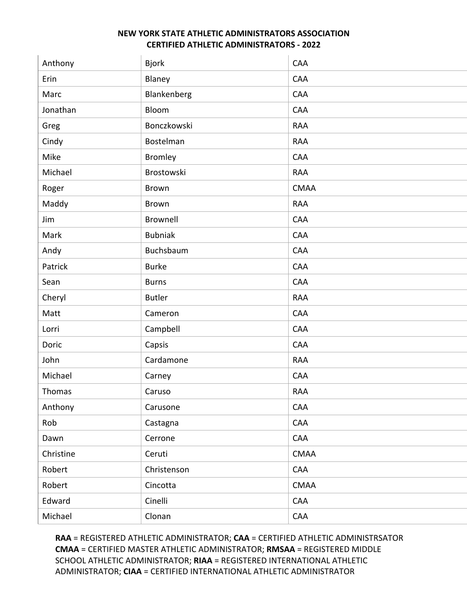| Anthony   | <b>Bjork</b>   | CAA         |
|-----------|----------------|-------------|
| Erin      | Blaney         | CAA         |
| Marc      | Blankenberg    | CAA         |
| Jonathan  | Bloom          | CAA         |
| Greg      | Bonczkowski    | <b>RAA</b>  |
| Cindy     | Bostelman      | <b>RAA</b>  |
| Mike      | <b>Bromley</b> | CAA         |
| Michael   | Brostowski     | <b>RAA</b>  |
| Roger     | <b>Brown</b>   | <b>CMAA</b> |
| Maddy     | <b>Brown</b>   | <b>RAA</b>  |
| Jim       | Brownell       | CAA         |
| Mark      | <b>Bubniak</b> | CAA         |
| Andy      | Buchsbaum      | CAA         |
| Patrick   | <b>Burke</b>   | CAA         |
| Sean      | <b>Burns</b>   | CAA         |
| Cheryl    | <b>Butler</b>  | <b>RAA</b>  |
| Matt      | Cameron        | CAA         |
| Lorri     | Campbell       | CAA         |
| Doric     | Capsis         | CAA         |
| John      | Cardamone      | <b>RAA</b>  |
| Michael   | Carney         | CAA         |
| Thomas    | Caruso         | <b>RAA</b>  |
| Anthony   | Carusone       | CAA         |
| Rob       | Castagna       | CAA         |
| Dawn      | Cerrone        | CAA         |
| Christine | Ceruti         | <b>CMAA</b> |
| Robert    | Christenson    | CAA         |
| Robert    | Cincotta       | <b>CMAA</b> |
| Edward    | Cinelli        | CAA         |
| Michael   | Clonan         | CAA         |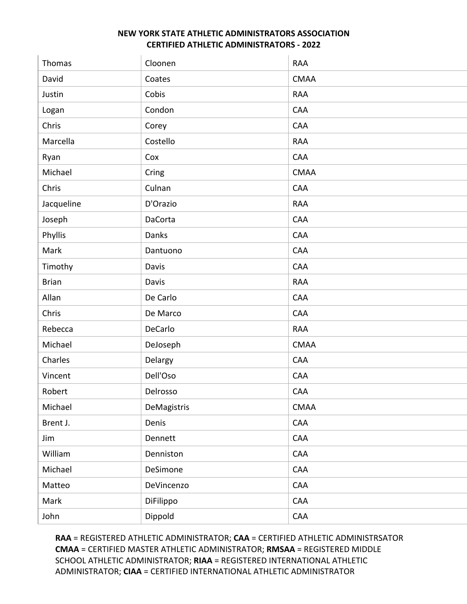| Thomas       | Cloonen     | <b>RAA</b>  |
|--------------|-------------|-------------|
| David        | Coates      | <b>CMAA</b> |
| Justin       | Cobis       | <b>RAA</b>  |
| Logan        | Condon      | CAA         |
| Chris        | Corey       | CAA         |
| Marcella     | Costello    | <b>RAA</b>  |
| Ryan         | Cox         | CAA         |
| Michael      | Cring       | <b>CMAA</b> |
| Chris        | Culnan      | CAA         |
| Jacqueline   | D'Orazio    | <b>RAA</b>  |
| Joseph       | DaCorta     | CAA         |
| Phyllis      | Danks       | CAA         |
| Mark         | Dantuono    | CAA         |
| Timothy      | Davis       | CAA         |
| <b>Brian</b> | Davis       | <b>RAA</b>  |
| Allan        | De Carlo    | CAA         |
| Chris        | De Marco    | CAA         |
| Rebecca      | DeCarlo     | <b>RAA</b>  |
| Michael      | DeJoseph    | <b>CMAA</b> |
| Charles      | Delargy     | CAA         |
| Vincent      | Dell'Oso    | CAA         |
| Robert       | Delrosso    | CAA         |
| Michael      | DeMagistris | CMAA        |
| Brent J.     | Denis       | CAA         |
| Jim          | Dennett     | CAA         |
| William      | Denniston   | CAA         |
| Michael      | DeSimone    | CAA         |
| Matteo       | DeVincenzo  | CAA         |
| Mark         | DiFilippo   | CAA         |
| John         | Dippold     | CAA         |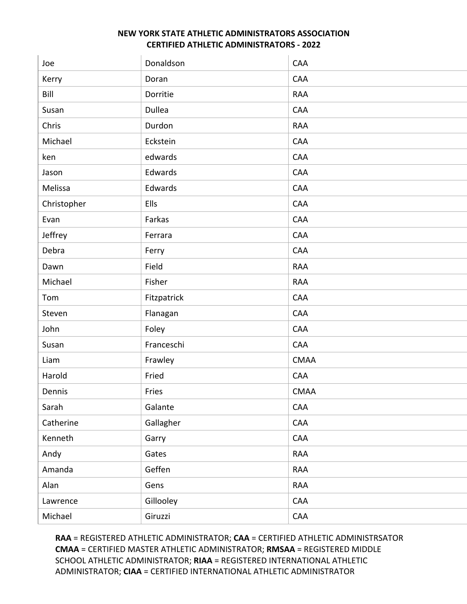| Joe         | Donaldson   | CAA         |
|-------------|-------------|-------------|
| Kerry       | Doran       | CAA         |
| Bill        | Dorritie    | <b>RAA</b>  |
| Susan       | Dullea      | CAA         |
| Chris       | Durdon      | <b>RAA</b>  |
| Michael     | Eckstein    | CAA         |
| ken         | edwards     | CAA         |
| Jason       | Edwards     | CAA         |
| Melissa     | Edwards     | CAA         |
| Christopher | Ells        | CAA         |
| Evan        | Farkas      | CAA         |
| Jeffrey     | Ferrara     | CAA         |
| Debra       | Ferry       | CAA         |
| Dawn        | Field       | <b>RAA</b>  |
| Michael     | Fisher      | <b>RAA</b>  |
| Tom         | Fitzpatrick | CAA         |
| Steven      | Flanagan    | CAA         |
| John        | Foley       | CAA         |
| Susan       | Franceschi  | CAA         |
| Liam        | Frawley     | <b>CMAA</b> |
| Harold      | Fried       | CAA         |
| Dennis      | Fries       | <b>CMAA</b> |
| Sarah       | Galante     | CAA         |
| Catherine   | Gallagher   | CAA         |
| Kenneth     | Garry       | CAA         |
| Andy        | Gates       | RAA         |
| Amanda      | Geffen      | RAA         |
| Alan        | Gens        | RAA         |
| Lawrence    | Gillooley   | CAA         |
| Michael     | Giruzzi     | CAA         |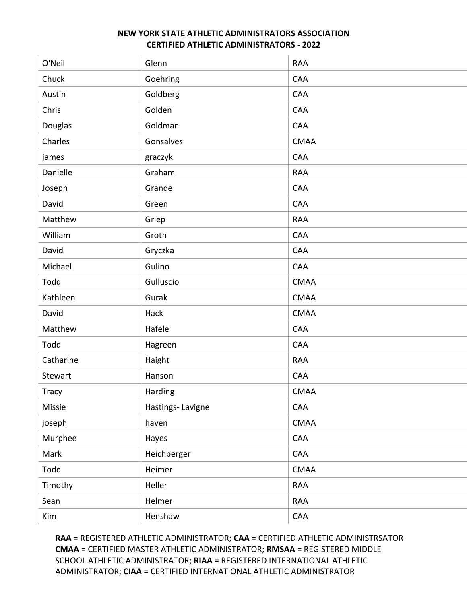| O'Neil       | Glenn            | <b>RAA</b>  |
|--------------|------------------|-------------|
| Chuck        | Goehring         | CAA         |
| Austin       | Goldberg         | CAA         |
| Chris        | Golden           | CAA         |
| Douglas      | Goldman          | CAA         |
| Charles      | Gonsalves        | <b>CMAA</b> |
| james        | graczyk          | CAA         |
| Danielle     | Graham           | <b>RAA</b>  |
| Joseph       | Grande           | CAA         |
| David        | Green            | CAA         |
| Matthew      | Griep            | <b>RAA</b>  |
| William      | Groth            | CAA         |
| David        | Gryczka          | CAA         |
| Michael      | Gulino           | CAA         |
| Todd         | Gulluscio        | <b>CMAA</b> |
| Kathleen     | Gurak            | <b>CMAA</b> |
| David        | Hack             | <b>CMAA</b> |
| Matthew      | Hafele           | CAA         |
| Todd         | Hagreen          | CAA         |
| Catharine    | Haight           | <b>RAA</b>  |
| Stewart      | Hanson           | CAA         |
| <b>Tracy</b> | Harding          | <b>CMAA</b> |
| Missie       | Hastings-Lavigne | CAA         |
| joseph       | haven            | <b>CMAA</b> |
| Murphee      | Hayes            | CAA         |
| Mark         | Heichberger      | CAA         |
| Todd         | Heimer           | <b>CMAA</b> |
| Timothy      | Heller           | RAA         |
| Sean         | Helmer           | RAA         |
| Kim          | Henshaw          | CAA         |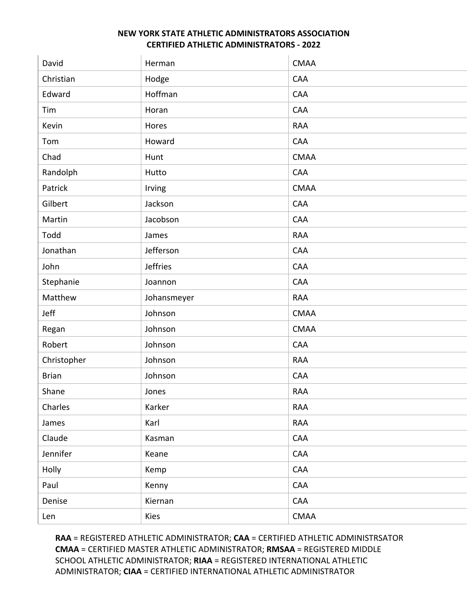| David        | Herman          | <b>CMAA</b> |
|--------------|-----------------|-------------|
| Christian    | Hodge           | CAA         |
| Edward       | Hoffman         | CAA         |
| Tim          | Horan           | CAA         |
| Kevin        | Hores           | <b>RAA</b>  |
| Tom          | Howard          | CAA         |
| Chad         | Hunt            | <b>CMAA</b> |
| Randolph     | Hutto           | CAA         |
| Patrick      | Irving          | <b>CMAA</b> |
| Gilbert      | Jackson         | CAA         |
| Martin       | Jacobson        | CAA         |
| Todd         | James           | <b>RAA</b>  |
| Jonathan     | Jefferson       | CAA         |
| John         | <b>Jeffries</b> | CAA         |
| Stephanie    | Joannon         | CAA         |
| Matthew      | Johansmeyer     | <b>RAA</b>  |
| Jeff         | Johnson         | <b>CMAA</b> |
| Regan        | Johnson         | <b>CMAA</b> |
| Robert       | Johnson         | CAA         |
| Christopher  | Johnson         | <b>RAA</b>  |
| <b>Brian</b> | Johnson         | CAA         |
| Shane        | Jones           | <b>RAA</b>  |
| Charles      | Karker          | RAA         |
| James        | Karl            | RAA         |
| Claude       | Kasman          | CAA         |
| Jennifer     | Keane           | CAA         |
| Holly        | Kemp            | CAA         |
| Paul         | Kenny           | CAA         |
| Denise       | Kiernan         | CAA         |
| Len          | Kies            | CMAA        |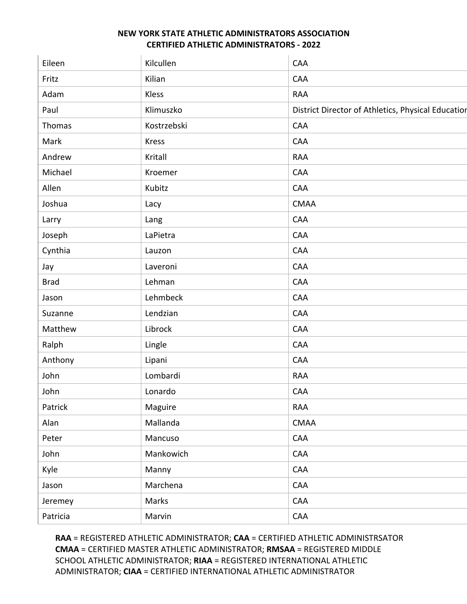| Eileen      | Kilcullen    | CAA                                                |
|-------------|--------------|----------------------------------------------------|
| Fritz       | Kilian       | CAA                                                |
| Adam        | Kless        | <b>RAA</b>                                         |
| Paul        | Klimuszko    | District Director of Athletics, Physical Education |
| Thomas      | Kostrzebski  | CAA                                                |
| Mark        | <b>Kress</b> | CAA                                                |
| Andrew      | Kritall      | <b>RAA</b>                                         |
| Michael     | Kroemer      | CAA                                                |
| Allen       | Kubitz       | CAA                                                |
| Joshua      | Lacy         | <b>CMAA</b>                                        |
| Larry       | Lang         | CAA                                                |
| Joseph      | LaPietra     | CAA                                                |
| Cynthia     | Lauzon       | CAA                                                |
| Jay         | Laveroni     | CAA                                                |
| <b>Brad</b> | Lehman       | CAA                                                |
| Jason       | Lehmbeck     | CAA                                                |
| Suzanne     | Lendzian     | CAA                                                |
| Matthew     | Librock      | CAA                                                |
| Ralph       | Lingle       | CAA                                                |
| Anthony     | Lipani       | CAA                                                |
| John        | Lombardi     | <b>RAA</b>                                         |
| John        | Lonardo      | CAA                                                |
| Patrick     | Maguire      | RAA                                                |
| Alan        | Mallanda     | CMAA                                               |
| Peter       | Mancuso      | CAA                                                |
| John        | Mankowich    | CAA                                                |
| Kyle        | Manny        | CAA                                                |
| Jason       | Marchena     | CAA                                                |
| Jeremey     | Marks        | CAA                                                |
| Patricia    | Marvin       | CAA                                                |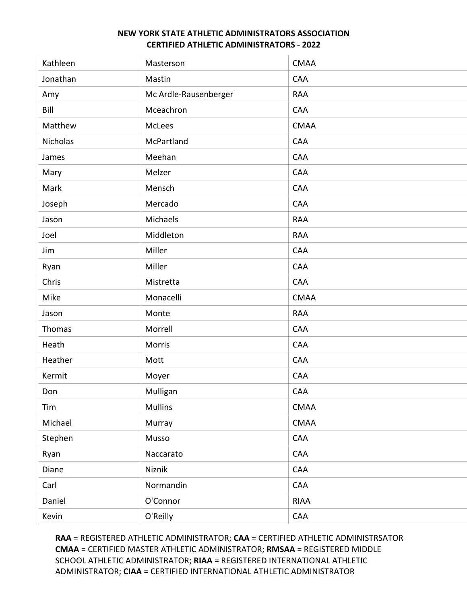| Kathleen        | Masterson             | <b>CMAA</b>     |
|-----------------|-----------------------|-----------------|
| Jonathan        | Mastin                | CAA             |
| Amy             | Mc Ardle-Rausenberger | <b>RAA</b>      |
| Bill            | Mceachron             | CAA             |
| Matthew         | McLees                | <b>CMAA</b>     |
| <b>Nicholas</b> | McPartland            | CAA             |
| James           | Meehan                | CAA             |
| Mary            | Melzer                | CAA             |
| Mark            | Mensch                | CAA             |
| Joseph          | Mercado               | <b>CAA</b>      |
| Jason           | Michaels              | <b>RAA</b>      |
| Joel            | Middleton             | <b>RAA</b>      |
| Jim             | Miller                | CAA             |
| Ryan            | Miller                | CAA             |
| Chris           | Mistretta             | CAA             |
| Mike            | Monacelli             | <b>CMAA</b>     |
| Jason           | Monte                 | <b>RAA</b>      |
| Thomas          | Morrell               | CAA             |
| Heath           | Morris                | CAA             |
| Heather         | Mott                  | CAA             |
| Kermit          | Moyer                 | CAA             |
| Don             | Mulligan              | CAA             |
| Tim             | Mullins               | $\mathsf{CMAA}$ |
| Michael         | Murray                | CMAA            |
| Stephen         | Musso                 | CAA             |
| Ryan            | Naccarato             | CAA             |
| Diane           | Niznik                | CAA             |
| Carl            | Normandin             | CAA             |
| Daniel          | O'Connor              | <b>RIAA</b>     |
| Kevin           | O'Reilly              | CAA             |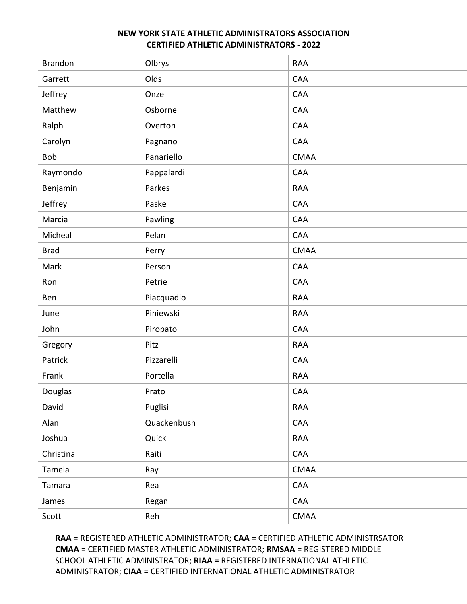| <b>Brandon</b> | Olbrys      | <b>RAA</b>  |
|----------------|-------------|-------------|
| Garrett        | Olds        | CAA         |
| Jeffrey        | Onze        | CAA         |
| Matthew        | Osborne     | CAA         |
| Ralph          | Overton     | CAA         |
| Carolyn        | Pagnano     | CAA         |
| Bob            | Panariello  | <b>CMAA</b> |
| Raymondo       | Pappalardi  | CAA         |
| Benjamin       | Parkes      | RAA         |
| Jeffrey        | Paske       | CAA         |
| Marcia         | Pawling     | CAA         |
| Micheal        | Pelan       | CAA         |
| <b>Brad</b>    | Perry       | <b>CMAA</b> |
| Mark           | Person      | CAA         |
| Ron            | Petrie      | CAA         |
| Ben            | Piacquadio  | <b>RAA</b>  |
| June           | Piniewski   | <b>RAA</b>  |
| John           | Piropato    | CAA         |
| Gregory        | Pitz        | <b>RAA</b>  |
| Patrick        | Pizzarelli  | CAA         |
| Frank          | Portella    | RAA         |
| Douglas        | Prato       | CAA         |
| David          | Puglisi     | RAA         |
| Alan           | Quackenbush | CAA         |
| Joshua         | Quick       | RAA         |
| Christina      | Raiti       | CAA         |
| Tamela         | Ray         | CMAA        |
| Tamara         | Rea         | CAA         |
| James          | Regan       | CAA         |
| Scott          | Reh         | CMAA        |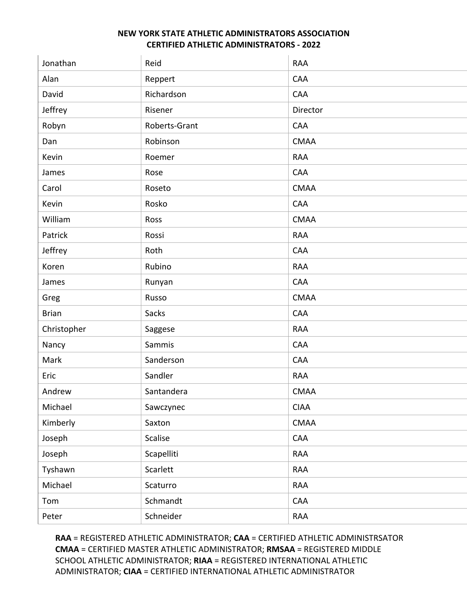| Jonathan     | Reid          | <b>RAA</b>  |
|--------------|---------------|-------------|
| Alan         | Reppert       | CAA         |
| David        | Richardson    | CAA         |
| Jeffrey      | Risener       | Director    |
| Robyn        | Roberts-Grant | CAA         |
| Dan          | Robinson      | <b>CMAA</b> |
| Kevin        | Roemer        | <b>RAA</b>  |
| James        | Rose          | CAA         |
| Carol        | Roseto        | <b>CMAA</b> |
| Kevin        | Rosko         | CAA         |
| William      | Ross          | <b>CMAA</b> |
| Patrick      | Rossi         | <b>RAA</b>  |
| Jeffrey      | Roth          | <b>CAA</b>  |
| Koren        | Rubino        | <b>RAA</b>  |
| James        | Runyan        | CAA         |
| Greg         | Russo         | <b>CMAA</b> |
| <b>Brian</b> | Sacks         | CAA         |
| Christopher  | Saggese       | <b>RAA</b>  |
| Nancy        | Sammis        | CAA         |
| Mark         | Sanderson     | CAA         |
| Eric         | Sandler       | <b>RAA</b>  |
| Andrew       | Santandera    | <b>CMAA</b> |
| Michael      | Sawczynec     | <b>CIAA</b> |
| Kimberly     | Saxton        | <b>CMAA</b> |
| Joseph       | Scalise       | CAA         |
| Joseph       | Scapelliti    | <b>RAA</b>  |
| Tyshawn      | Scarlett      | <b>RAA</b>  |
| Michael      | Scaturro      | <b>RAA</b>  |
| Tom          | Schmandt      | CAA         |
| Peter        | Schneider     | RAA         |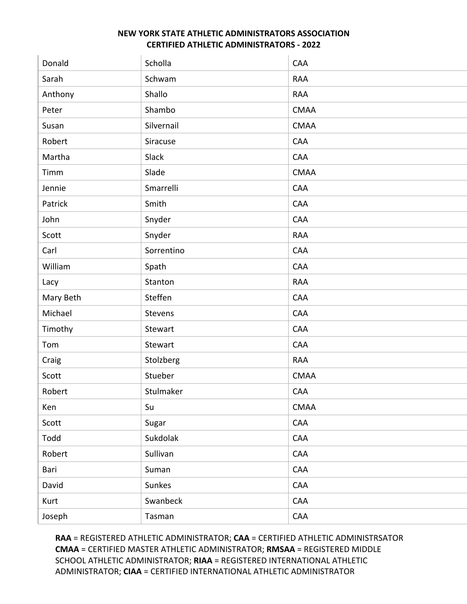| Donald    | Scholla    | CAA         |
|-----------|------------|-------------|
| Sarah     | Schwam     | RAA         |
| Anthony   | Shallo     | <b>RAA</b>  |
| Peter     | Shambo     | <b>CMAA</b> |
| Susan     | Silvernail | <b>CMAA</b> |
| Robert    | Siracuse   | CAA         |
| Martha    | Slack      | CAA         |
| Timm      | Slade      | <b>CMAA</b> |
| Jennie    | Smarrelli  | CAA         |
| Patrick   | Smith      | CAA         |
| John      | Snyder     | CAA         |
| Scott     | Snyder     | <b>RAA</b>  |
| Carl      | Sorrentino | CAA         |
| William   | Spath      | CAA         |
| Lacy      | Stanton    | <b>RAA</b>  |
| Mary Beth | Steffen    | CAA         |
| Michael   | Stevens    | CAA         |
| Timothy   | Stewart    | CAA         |
| Tom       | Stewart    | CAA         |
| Craig     | Stolzberg  | <b>RAA</b>  |
| Scott     | Stueber    | <b>CMAA</b> |
| Robert    | Stulmaker  | CAA         |
| Ken       | Su         | CMAA        |
| Scott     | Sugar      | CAA         |
| Todd      | Sukdolak   | CAA         |
| Robert    | Sullivan   | CAA         |
| Bari      | Suman      | CAA         |
| David     | Sunkes     | CAA         |
| Kurt      | Swanbeck   | CAA         |
| Joseph    | Tasman     | CAA         |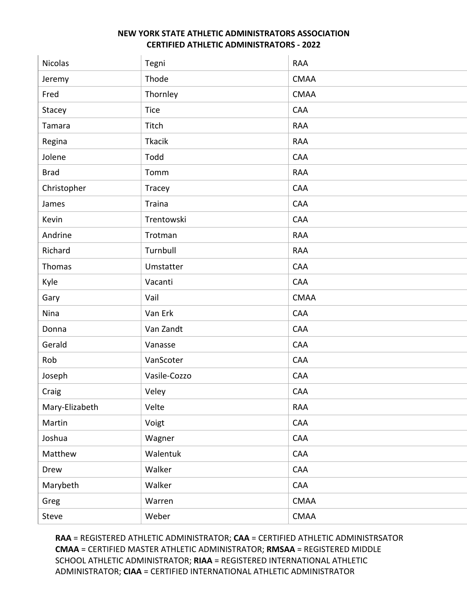| <b>Nicolas</b> | Tegni         | <b>RAA</b>  |
|----------------|---------------|-------------|
| Jeremy         | Thode         | <b>CMAA</b> |
| Fred           | Thornley      | <b>CMAA</b> |
| Stacey         | Tice          | CAA         |
| Tamara         | Titch         | <b>RAA</b>  |
| Regina         | <b>Tkacik</b> | <b>RAA</b>  |
| Jolene         | Todd          | CAA         |
| <b>Brad</b>    | Tomm          | <b>RAA</b>  |
| Christopher    | Tracey        | CAA         |
| James          | Traina        | CAA         |
| Kevin          | Trentowski    | CAA         |
| Andrine        | Trotman       | <b>RAA</b>  |
| Richard        | Turnbull      | <b>RAA</b>  |
| Thomas         | Umstatter     | CAA         |
| Kyle           | Vacanti       | CAA         |
| Gary           | Vail          | <b>CMAA</b> |
| Nina           | Van Erk       | CAA         |
| Donna          | Van Zandt     | CAA         |
| Gerald         | Vanasse       | CAA         |
| Rob            | VanScoter     | CAA         |
| Joseph         | Vasile-Cozzo  | CAA         |
| Craig          | Veley         | CAA         |
| Mary-Elizabeth | Velte         | RAA         |
| Martin         | Voigt         | CAA         |
| Joshua         | Wagner        | CAA         |
| Matthew        | Walentuk      | CAA         |
| Drew           | Walker        | CAA         |
| Marybeth       | Walker        | CAA         |
| Greg           | Warren        | <b>CMAA</b> |
| Steve          | Weber         | CMAA        |